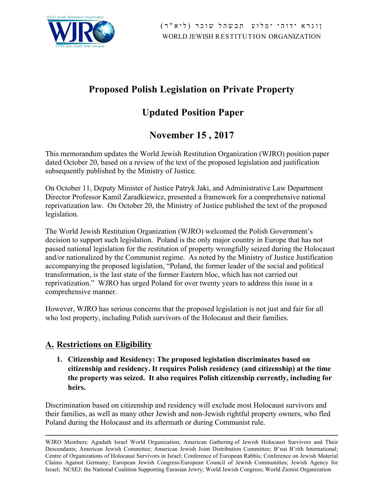

# **Proposed Polish Legislation on Private Property**

# **Updated Position Paper**

# **November 15 , 2017**

This memorandum updates the World Jewish Restitution Organization (WJRO) position paper dated October 20, based on a review of the text of the proposed legislation and justification subsequently published by the Ministry of Justice.

On October 11, Deputy Minister of Justice Patryk Jaki, and Administrative Law Department Director Professor Kamil Zaradkiewicz, presented a framework for a comprehensive national reprivatization law. On October 20, the Ministry of Justice published the text of the proposed legislation.

The World Jewish Restitution Organization (WJRO) welcomed the Polish Government's decision to support such legislation. Poland is the only major country in Europe that has not passed national legislation for the restitution of property wrongfully seized during the Holocaust and/or nationalized by the Communist regime. As noted by the Ministry of Justice Justification accompanying the proposed legislation, "Poland, the former leader of the social and political transformation, is the last state of the former Eastern bloc, which has not carried out reprivatization." WJRO has urged Poland for over twenty years to address this issue in a comprehensive manner.

However, WJRO has serious concerns that the proposed legislation is not just and fair for all who lost property, including Polish survivors of the Holocaust and their families.

# **A. Restrictions on Eligibility**

**1. Citizenship and Residency: The proposed legislation discriminates based on citizenship and residency. It requires Polish residency (and citizenship) at the time the property was seized. It also requires Polish citizenship currently, including for heirs.**

Discrimination based on citizenship and residency will exclude most Holocaust survivors and their families, as well as many other Jewish and non-Jewish rightful property owners, who fled Poland during the Holocaust and its aftermath or during Communist rule.

WJRO Members: Agudath Israel World Organization; American Gathering of Jewish Holocaust Survivors and Their Descendants; American Jewish Committee; American Jewish Joint Distribution Committee; B'nai B'rith International; Centre of Organizations of Holocaust Survivors in Israel; Conference of European Rabbis; Conference on Jewish Material Claims Against Germany; European Jewish Congress/European Council of Jewish Communities; Jewish Agency for Israel; NCSEJ: the National Coalition Supporting Eurasian Jewry; World Jewish Congress; World Zionist Organization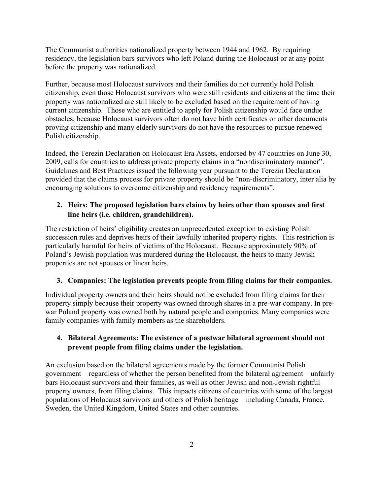The Communist authorities nationalized property between 1944 and 1962. By requiring residency, the legislation bars survivors who left Poland during the Holocaust or at any point before the property was nationalized.

Further, because most Holocaust survivors and their families do not currently hold Polish citizenship, even those Holocaust survivors who were still residents and citizens at the time their property was nationalized are still likely to be excluded based on the requirement of having current citizenship. Those who are entitled to apply for Polish citizenship would face undue obstacles, because Holocaust survivors often do not have birth certificates or other documents proving citizenship and many elderly survivors do not have the resources to pursue renewed Polish citizenship.

Indeed, the Terezin Declaration on Holocaust Era Assets, endorsed by 47 countries on June 30, 2009, calls for countries to address private property claims in a "nondiscriminatory manner". Guidelines and Best Practices issued the following year pursuant to the Terezin Declaration provided that the claims process for private property should be "non-discriminatory, inter alia by encouraging solutions to overcome citizenship and residency requirements".

## **2. Heirs: The proposed legislation bars claims by heirs other than spouses and first line heirs (i.e. children, grandchildren).**

The restriction of heirs' eligibility creates an unprecedented exception to existing Polish succession rules and deprives heirs of their lawfully inherited property rights. This restriction is particularly harmful for heirs of victims of the Holocaust. Because approximately 90% of Poland's Jewish population was murdered during the Holocaust, the heirs to many Jewish properties are not spouses or linear heirs.

# **3. Companies: The legislation prevents people from filing claims for their companies.**

Individual property owners and their heirs should not be excluded from filing claims for their property simply because their property was owned through shares in a pre-war company. In prewar Poland property was owned both by natural people and companies. Many companies were family companies with family members as the shareholders.

# **4. Bilateral Agreements: The existence of a postwar bilateral agreement should not prevent people from filing claims under the legislation.**

An exclusion based on the bilateral agreements made by the former Communist Polish government – regardless of whether the person benefited from the bilateral agreement – unfairly bars Holocaust survivors and their families, as well as other Jewish and non-Jewish rightful property owners, from filing claims. This impacts citizens of countries with some of the largest populations of Holocaust survivors and others of Polish heritage – including Canada, France, Sweden, the United Kingdom, United States and other countries.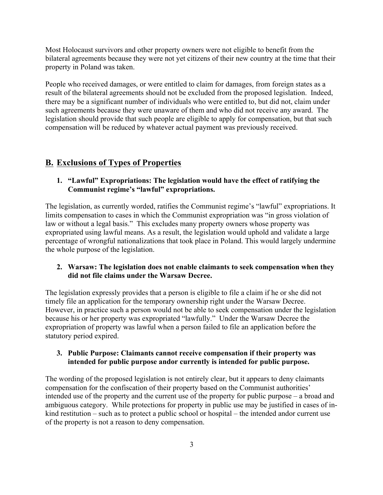Most Holocaust survivors and other property owners were not eligible to benefit from the bilateral agreements because they were not yet citizens of their new country at the time that their property in Poland was taken.

People who received damages, or were entitled to claim for damages, from foreign states as a result of the bilateral agreements should not be excluded from the proposed legislation. Indeed, there may be a significant number of individuals who were entitled to, but did not, claim under such agreements because they were unaware of them and who did not receive any award. The legislation should provide that such people are eligible to apply for compensation, but that such compensation will be reduced by whatever actual payment was previously received.

# **B. Exclusions of Types of Properties**

#### **1. "Lawful" Expropriations: The legislation would have the effect of ratifying the Communist regime's "lawful" expropriations.**

The legislation, as currently worded, ratifies the Communist regime's "lawful" expropriations. It limits compensation to cases in which the Communist expropriation was "in gross violation of law or without a legal basis." This excludes many property owners whose property was expropriated using lawful means. As a result, the legislation would uphold and validate a large percentage of wrongful nationalizations that took place in Poland. This would largely undermine the whole purpose of the legislation.

#### **2. Warsaw: The legislation does not enable claimants to seek compensation when they did not file claims under the Warsaw Decree.**

The legislation expressly provides that a person is eligible to file a claim if he or she did not timely file an application for the temporary ownership right under the Warsaw Decree. However, in practice such a person would not be able to seek compensation under the legislation because his or her property was expropriated "lawfully." Under the Warsaw Decree the expropriation of property was lawful when a person failed to file an application before the statutory period expired.

#### **3. Public Purpose: Claimants cannot receive compensation if their property was intended for public purpose andor currently is intended for public purpose.**

The wording of the proposed legislation is not entirely clear, but it appears to deny claimants compensation for the confiscation of their property based on the Communist authorities' intended use of the property and the current use of the property for public purpose – a broad and ambiguous category. While protections for property in public use may be justified in cases of inkind restitution – such as to protect a public school or hospital – the intended andor current use of the property is not a reason to deny compensation.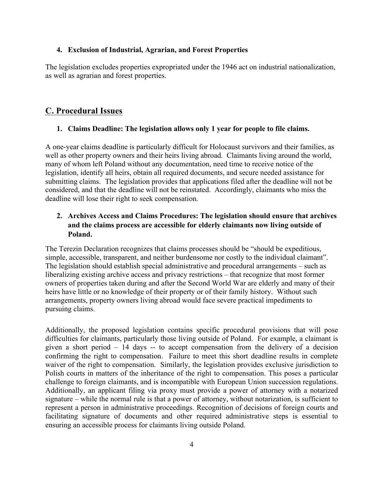#### **4. Exclusion of Industrial, Agrarian, and Forest Properties**

The legislation excludes properties expropriated under the 1946 act on industrial nationalization, as well as agrarian and forest properties.

# **C. Procedural Issues**

#### **1. Claims Deadline: The legislation allows only 1 year for people to file claims.**

A one-year claims deadline is particularly difficult for Holocaust survivors and their families, as well as other property owners and their heirs living abroad. Claimants living around the world, many of whom left Poland without any documentation, need time to receive notice of the legislation, identify all heirs, obtain all required documents, and secure needed assistance for submitting claims. The legislation provides that applications filed after the deadline will not be considered, and that the deadline will not be reinstated. Accordingly, claimants who miss the deadline will lose their right to seek compensation.

## **2. Archives Access and Claims Procedures: The legislation should ensure that archives and the claims process are accessible for elderly claimants now living outside of Poland.**

The Terezin Declaration recognizes that claims processes should be "should be expeditious, simple, accessible, transparent, and neither burdensome nor costly to the individual claimant". The legislation should establish special administrative and procedural arrangements – such as liberalizing existing archive access and privacy restrictions – that recognize that most former owners of properties taken during and after the Second World War are elderly and many of their heirs have little or no knowledge of their property or of their family history. Without such arrangements, property owners living abroad would face severe practical impediments to pursuing claims.

Additionally, the proposed legislation contains specific procedural provisions that will pose difficulties for claimants, particularly those living outside of Poland. For example, a claimant is given a short period  $-14$  days  $-$  to accept compensation from the delivery of a decision confirming the right to compensation. Failure to meet this short deadline results in complete waiver of the right to compensation. Similarly, the legislation provides exclusive jurisdiction to Polish courts in matters of the inheritance of the right to compensation. This poses a particular challenge to foreign claimants, and is incompatible with European Union succession regulations. Additionally, an applicant filing via proxy must provide a power of attorney with a notarized signature – while the normal rule is that a power of attorney, without notarization, is sufficient to represent a person in administrative proceedings. Recognition of decisions of foreign courts and facilitating signature of documents and other required administrative steps is essential to ensuring an accessible process for claimants living outside Poland.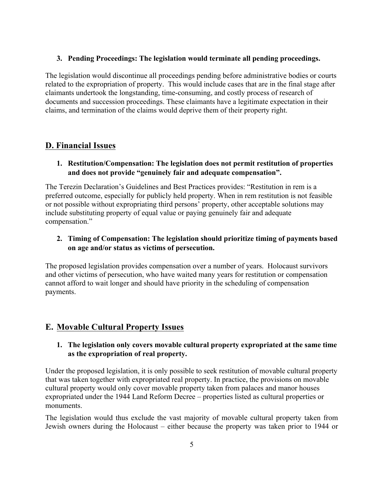#### **3. Pending Proceedings: The legislation would terminate all pending proceedings.**

The legislation would discontinue all proceedings pending before administrative bodies or courts related to the expropriation of property. This would include cases that are in the final stage after claimants undertook the longstanding, time-consuming, and costly process of research of documents and succession proceedings. These claimants have a legitimate expectation in their claims, and termination of the claims would deprive them of their property right.

# **D. Financial Issues**

## **1. Restitution/Compensation: The legislation does not permit restitution of properties and does not provide "genuinely fair and adequate compensation".**

The Terezin Declaration's Guidelines and Best Practices provides: "Restitution in rem is a preferred outcome, especially for publicly held property. When in rem restitution is not feasible or not possible without expropriating third persons' property, other acceptable solutions may include substituting property of equal value or paying genuinely fair and adequate compensation."

# **2. Timing of Compensation: The legislation should prioritize timing of payments based on age and/or status as victims of persecution.**

The proposed legislation provides compensation over a number of years. Holocaust survivors and other victims of persecution, who have waited many years for restitution or compensation cannot afford to wait longer and should have priority in the scheduling of compensation payments.

# **E. Movable Cultural Property Issues**

## **1. The legislation only covers movable cultural property expropriated at the same time as the expropriation of real property.**

Under the proposed legislation, it is only possible to seek restitution of movable cultural property that was taken together with expropriated real property. In practice, the provisions on movable cultural property would only cover movable property taken from palaces and manor houses expropriated under the 1944 Land Reform Decree – properties listed as cultural properties or monuments.

The legislation would thus exclude the vast majority of movable cultural property taken from Jewish owners during the Holocaust – either because the property was taken prior to 1944 or